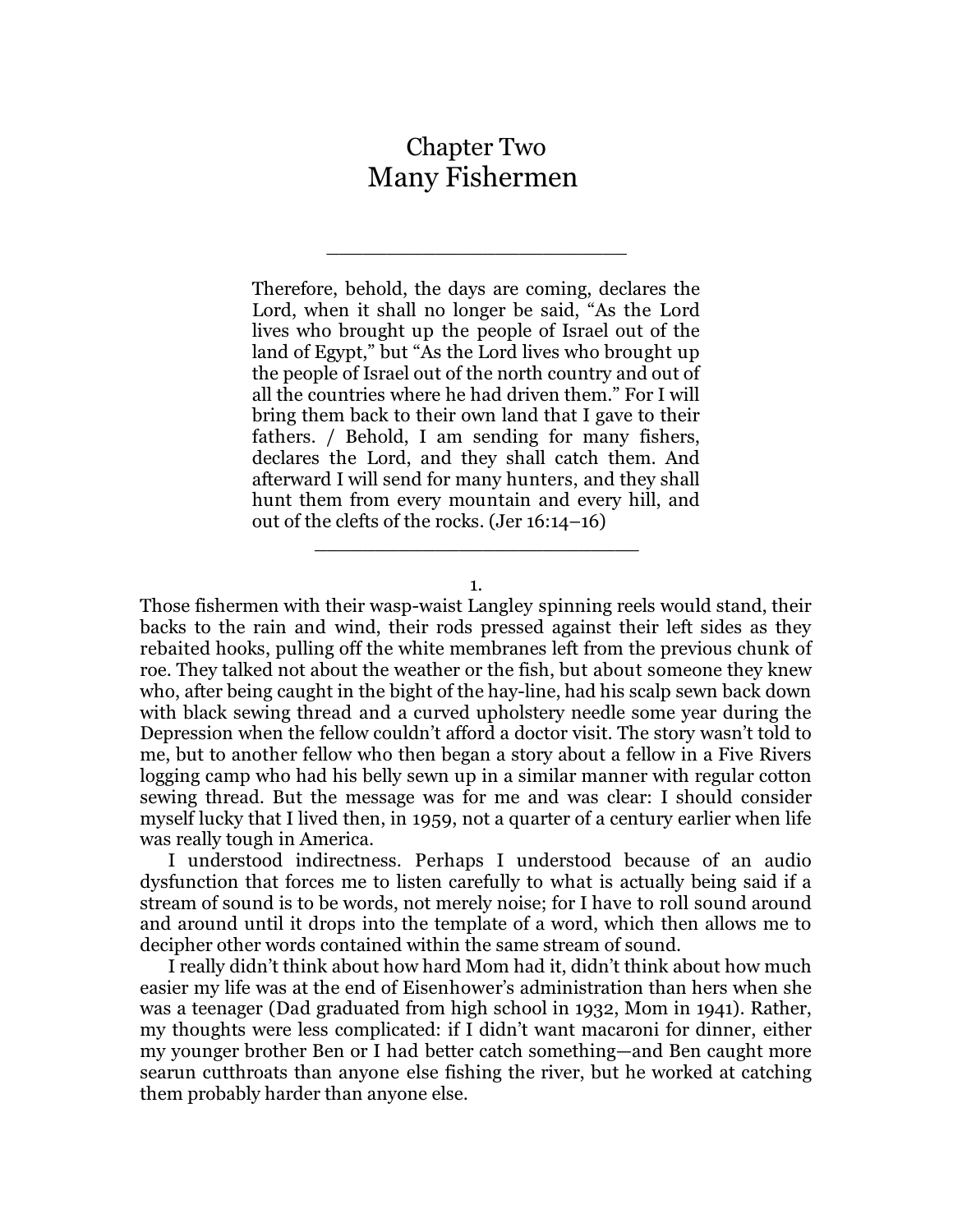## Chapter Two Many Fishermen

\_\_\_\_\_\_\_\_\_\_\_\_\_\_\_\_\_\_\_\_\_\_\_\_\_

Therefore, behold, the days are coming, declares the Lord, when it shall no longer be said, "As the Lord lives who brought up the people of Israel out of the land of Egypt," but "As the Lord lives who brought up the people of Israel out of the north country and out of all the countries where he had driven them." For I will bring them back to their own land that I gave to their fathers. / Behold, I am sending for many fishers, declares the Lord, and they shall catch them. And afterward I will send for many hunters, and they shall hunt them from every mountain and every hill, and out of the clefts of the rocks. (Jer 16:14–16)

1.

\_\_\_\_\_\_\_\_\_\_\_\_\_\_\_\_\_\_\_\_\_\_\_\_\_\_\_

Those fishermen with their wasp-waist Langley spinning reels would stand, their backs to the rain and wind, their rods pressed against their left sides as they rebaited hooks, pulling off the white membranes left from the previous chunk of roe. They talked not about the weather or the fish, but about someone they knew who, after being caught in the bight of the hay-line, had his scalp sewn back down with black sewing thread and a curved upholstery needle some year during the Depression when the fellow couldn't afford a doctor visit. The story wasn't told to me, but to another fellow who then began a story about a fellow in a Five Rivers logging camp who had his belly sewn up in a similar manner with regular cotton sewing thread. But the message was for me and was clear: I should consider myself lucky that I lived then, in 1959, not a quarter of a century earlier when life was really tough in America.

I understood indirectness. Perhaps I understood because of an audio dysfunction that forces me to listen carefully to what is actually being said if a stream of sound is to be words, not merely noise; for I have to roll sound around and around until it drops into the template of a word, which then allows me to decipher other words contained within the same stream of sound.

I really didn't think about how hard Mom had it, didn't think about how much easier my life was at the end of Eisenhower's administration than hers when she was a teenager (Dad graduated from high school in 1932, Mom in 1941). Rather, my thoughts were less complicated: if I didn't want macaroni for dinner, either my younger brother Ben or I had better catch something—and Ben caught more searun cutthroats than anyone else fishing the river, but he worked at catching them probably harder than anyone else.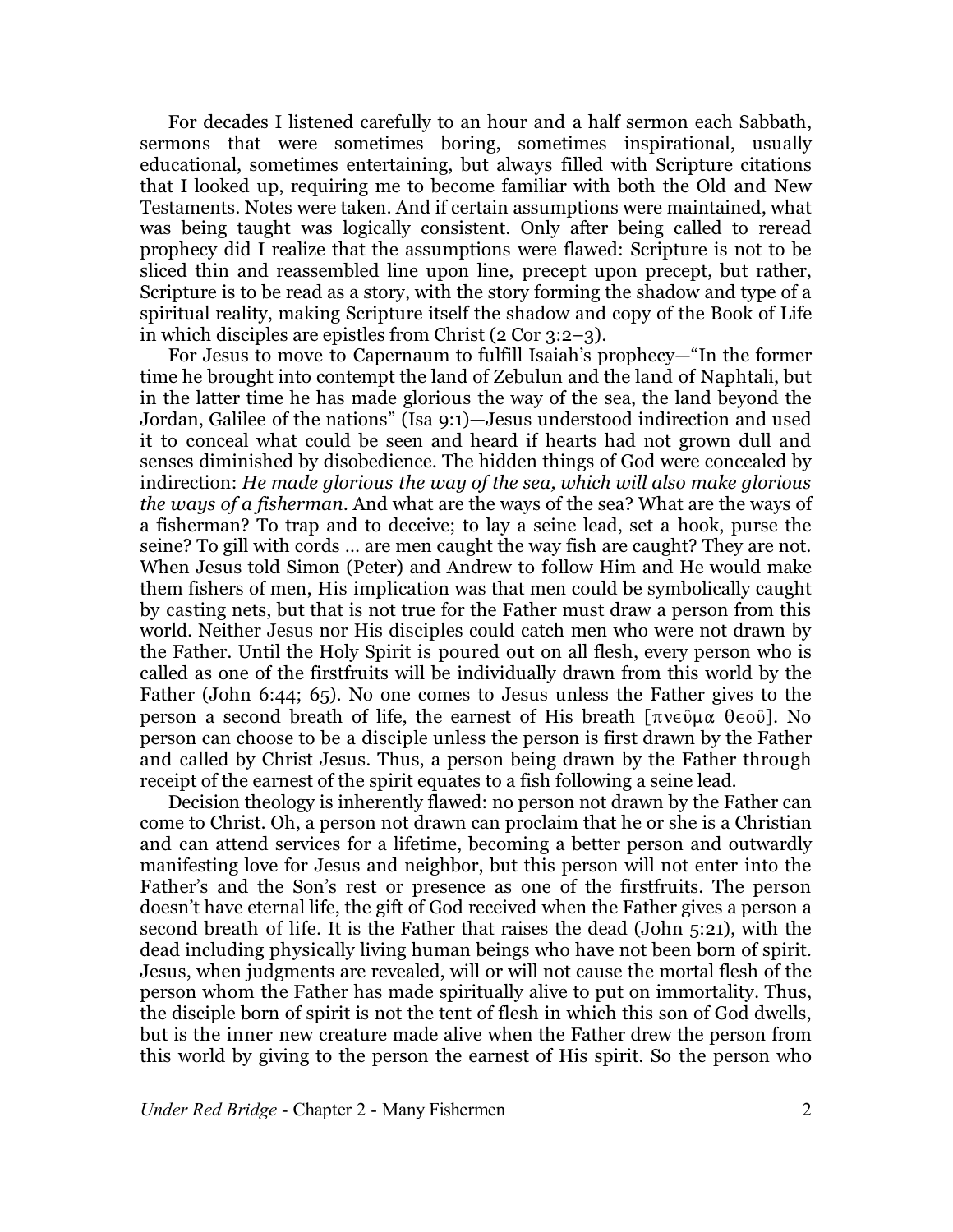For decades I listened carefully to an hour and a half sermon each Sabbath, sermons that were sometimes boring, sometimes inspirational, usually educational, sometimes entertaining, but always filled with Scripture citations that I looked up, requiring me to become familiar with both the Old and New Testaments. Notes were taken. And if certain assumptions were maintained, what was being taught was logically consistent. Only after being called to reread prophecy did I realize that the assumptions were flawed: Scripture is not to be sliced thin and reassembled line upon line, precept upon precept, but rather, Scripture is to be read as a story, with the story forming the shadow and type of a spiritual reality, making Scripture itself the shadow and copy of the Book of Life in which disciples are epistles from Christ (2 Cor 3:2–3).

For Jesus to move to Capernaum to fulfill Isaiah's prophecy—"In the former time he brought into contempt the land of Zebulun and the land of Naphtali, but in the latter time he has made glorious the way of the sea, the land beyond the Jordan, Galilee of the nations" (Isa 9:1)—Jesus understood indirection and used it to conceal what could be seen and heard if hearts had not grown dull and senses diminished by disobedience. The hidden things of God were concealed by indirection: *He made glorious the way of the sea, which will also make glorious the ways of a fisherman*. And what are the ways of the sea? What are the ways of a fisherman? To trap and to deceive; to lay a seine lead, set a hook, purse the seine? To gill with cords … are men caught the way fish are caught? They are not. When Jesus told Simon (Peter) and Andrew to follow Him and He would make them fishers of men, His implication was that men could be symbolically caught by casting nets, but that is not true for the Father must draw a person from this world. Neither Jesus nor His disciples could catch men who were not drawn by the Father. Until the Holy Spirit is poured out on all flesh, every person who is called as one of the firstfruits will be individually drawn from this world by the Father (John 6:44; 65). No one comes to Jesus unless the Father gives to the person a second breath of life, the earnest of His breath  $[\pi v \in \partial \mu \alpha \ \theta \in \partial \bar{\nu}]$ . No person can choose to be a disciple unless the person is first drawn by the Father and called by Christ Jesus. Thus, a person being drawn by the Father through receipt of the earnest of the spirit equates to a fish following a seine lead.

Decision theology is inherently flawed: no person not drawn by the Father can come to Christ. Oh, a person not drawn can proclaim that he or she is a Christian and can attend services for a lifetime, becoming a better person and outwardly manifesting love for Jesus and neighbor, but this person will not enter into the Father's and the Son's rest or presence as one of the firstfruits. The person doesn't have eternal life, the gift of God received when the Father gives a person a second breath of life. It is the Father that raises the dead (John 5:21), with the dead including physically living human beings who have not been born of spirit. Jesus, when judgments are revealed, will or will not cause the mortal flesh of the person whom the Father has made spiritually alive to put on immortality. Thus, the disciple born of spirit is not the tent of flesh in which this son of God dwells, but is the inner new creature made alive when the Father drew the person from this world by giving to the person the earnest of His spirit. So the person who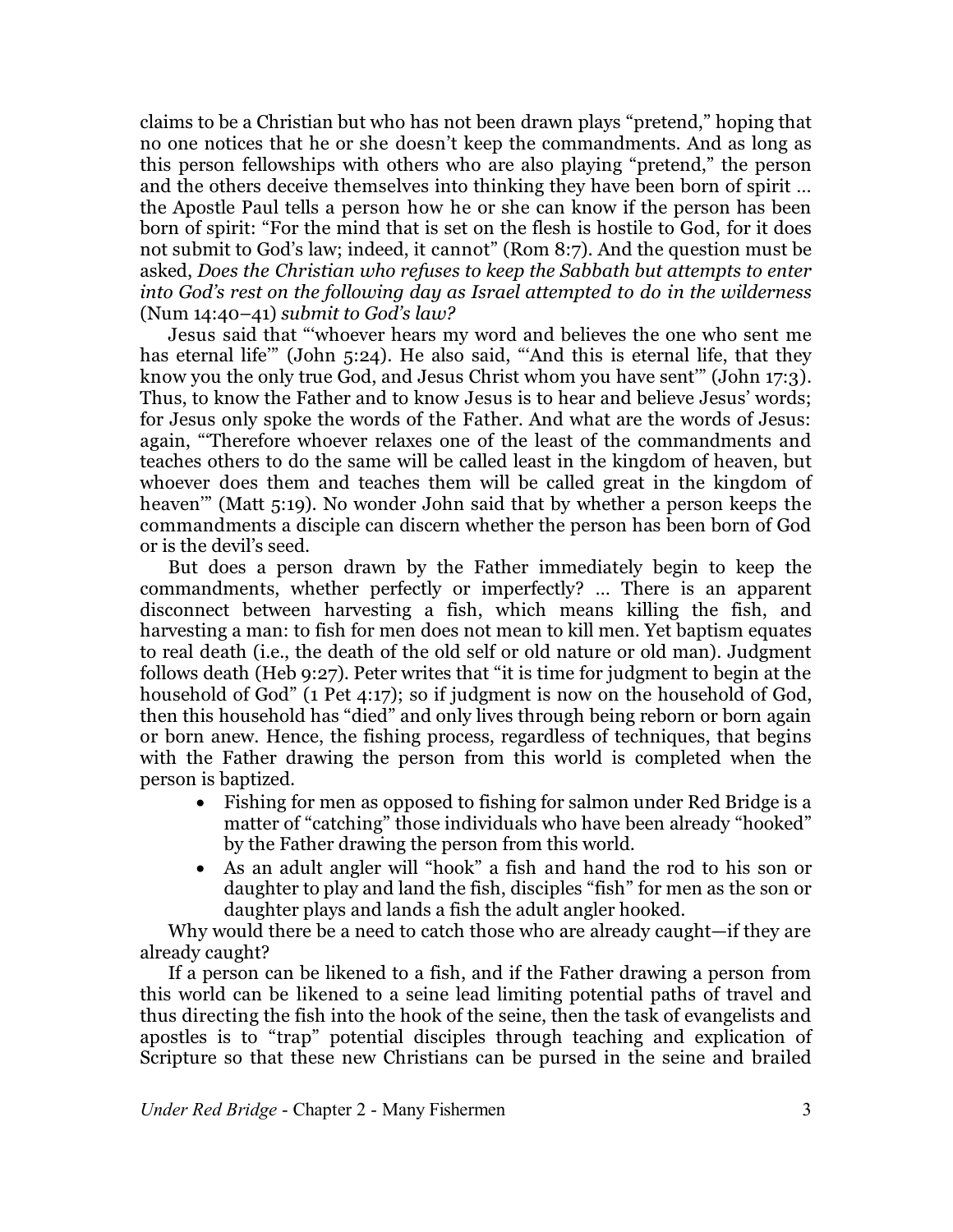claims to be a Christian but who has not been drawn plays "pretend," hoping that no one notices that he or she doesn't keep the commandments. And as long as this person fellowships with others who are also playing "pretend," the person and the others deceive themselves into thinking they have been born of spirit … the Apostle Paul tells a person how he or she can know if the person has been born of spirit: "For the mind that is set on the flesh is hostile to God, for it does not submit to God's law; indeed, it cannot" (Rom 8:7). And the question must be asked, *Does the Christian who refuses to keep the Sabbath but attempts to enter into God's rest on the following day as Israel attempted to do in the wilderness* (Num 14:40–41) *submit to God's law?*

Jesus said that "'whoever hears my word and believes the one who sent me has eternal life" (John 5:24). He also said, "And this is eternal life, that they know you the only true God, and Jesus Christ whom you have sent'" (John 17:3). Thus, to know the Father and to know Jesus is to hear and believe Jesus' words; for Jesus only spoke the words of the Father. And what are the words of Jesus: again, "'Therefore whoever relaxes one of the least of the commandments and teaches others to do the same will be called least in the kingdom of heaven, but whoever does them and teaches them will be called great in the kingdom of heaven'" (Matt 5:19). No wonder John said that by whether a person keeps the commandments a disciple can discern whether the person has been born of God or is the devil's seed.

But does a person drawn by the Father immediately begin to keep the commandments, whether perfectly or imperfectly? … There is an apparent disconnect between harvesting a fish, which means killing the fish, and harvesting a man: to fish for men does not mean to kill men. Yet baptism equates to real death (i.e., the death of the old self or old nature or old man). Judgment follows death (Heb 9:27). Peter writes that "it is time for judgment to begin at the household of God" (1 Pet 4:17); so if judgment is now on the household of God, then this household has "died" and only lives through being reborn or born again or born anew. Hence, the fishing process, regardless of techniques, that begins with the Father drawing the person from this world is completed when the person is baptized.

- · Fishing for men as opposed to fishing for salmon under Red Bridge is a matter of "catching" those individuals who have been already "hooked" by the Father drawing the person from this world.
- · As an adult angler will "hook" a fish and hand the rod to his son or daughter to play and land the fish, disciples "fish" for men as the son or daughter plays and lands a fish the adult angler hooked.

Why would there be a need to catch those who are already caught—if they are already caught?

If a person can be likened to a fish, and if the Father drawing a person from this world can be likened to a seine lead limiting potential paths of travel and thus directing the fish into the hook of the seine, then the task of evangelists and apostles is to "trap" potential disciples through teaching and explication of Scripture so that these new Christians can be pursed in the seine and brailed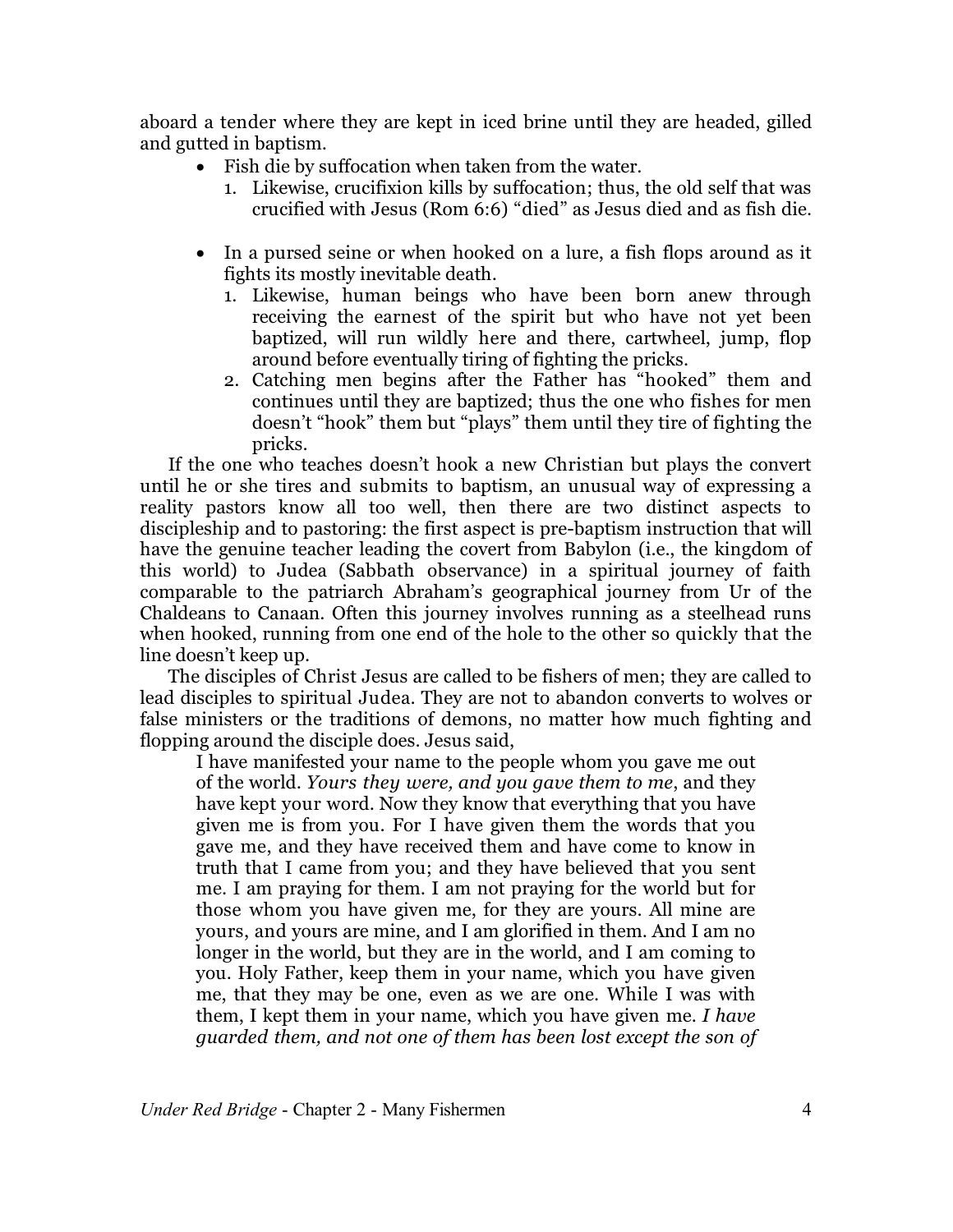aboard a tender where they are kept in iced brine until they are headed, gilled and gutted in baptism.

- · Fish die by suffocation when taken from the water.
	- 1. Likewise, crucifixion kills by suffocation; thus, the old self that was crucified with Jesus (Rom 6:6) "died" as Jesus died and as fish die.
- · In a pursed seine or when hooked on a lure, a fish flops around as it fights its mostly inevitable death.
	- 1. Likewise, human beings who have been born anew through receiving the earnest of the spirit but who have not yet been baptized, will run wildly here and there, cartwheel, jump, flop around before eventually tiring of fighting the pricks.
	- 2. Catching men begins after the Father has "hooked" them and continues until they are baptized; thus the one who fishes for men doesn't "hook" them but "plays" them until they tire of fighting the pricks.

If the one who teaches doesn't hook a new Christian but plays the convert until he or she tires and submits to baptism, an unusual way of expressing a reality pastors know all too well, then there are two distinct aspects to discipleship and to pastoring: the first aspect is pre-baptism instruction that will have the genuine teacher leading the covert from Babylon (i.e., the kingdom of this world) to Judea (Sabbath observance) in a spiritual journey of faith comparable to the patriarch Abraham's geographical journey from Ur of the Chaldeans to Canaan. Often this journey involves running as a steelhead runs when hooked, running from one end of the hole to the other so quickly that the line doesn't keep up.

The disciples of Christ Jesus are called to be fishers of men; they are called to lead disciples to spiritual Judea. They are not to abandon converts to wolves or false ministers or the traditions of demons, no matter how much fighting and flopping around the disciple does. Jesus said,

I have manifested your name to the people whom you gave me out of the world. *Yours they were, and you gave them to me*, and they have kept your word. Now they know that everything that you have given me is from you. For I have given them the words that you gave me, and they have received them and have come to know in truth that I came from you; and they have believed that you sent me. I am praying for them. I am not praying for the world but for those whom you have given me, for they are yours. All mine are yours, and yours are mine, and I am glorified in them. And I am no longer in the world, but they are in the world, and I am coming to you. Holy Father, keep them in your name, which you have given me, that they may be one, even as we are one. While I was with them, I kept them in your name, which you have given me. *I have guarded them, and not one of them has been lost except the son of*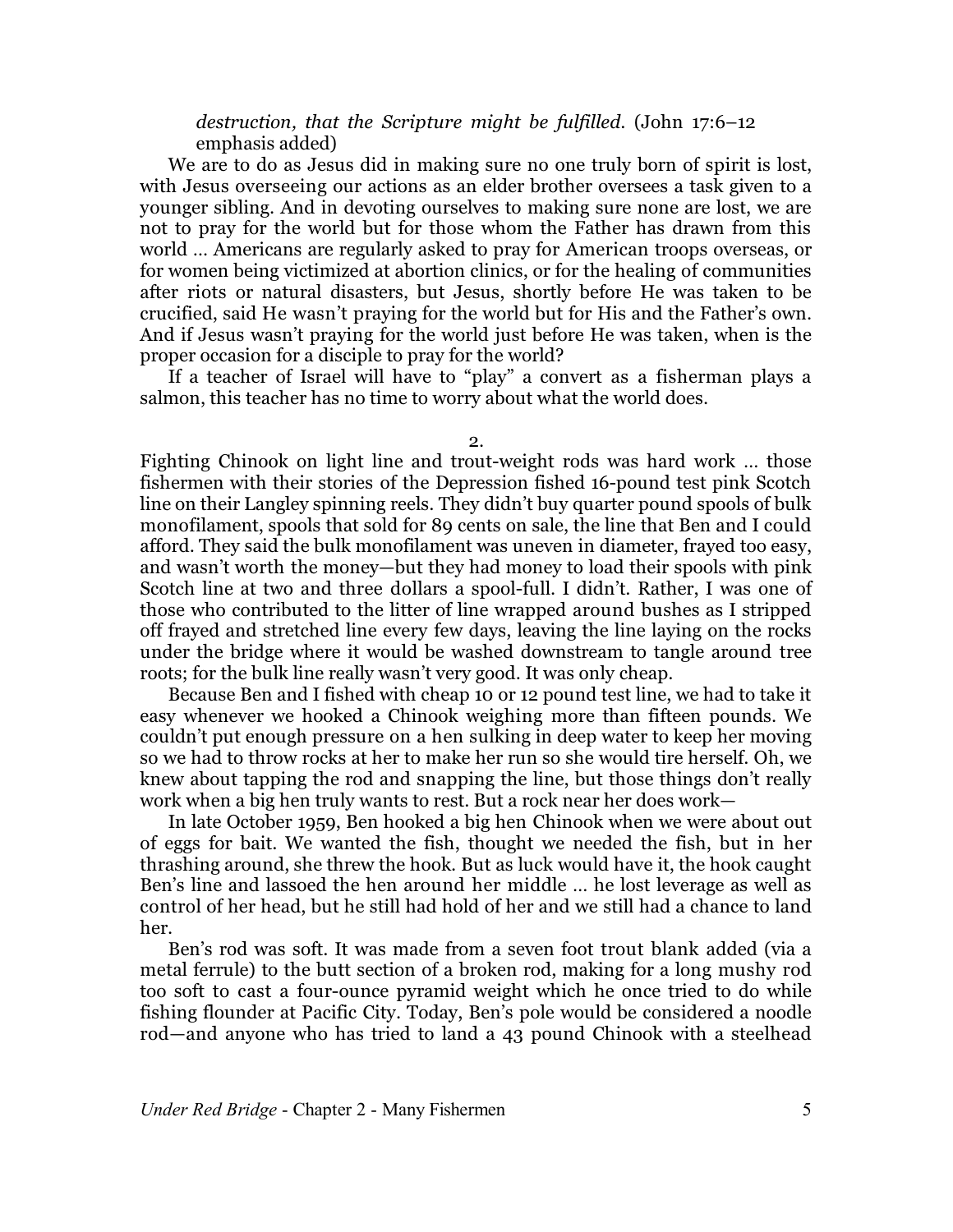## *destruction, that the Scripture might be fulfilled*. (John 17:6–12 emphasis added)

We are to do as Jesus did in making sure no one truly born of spirit is lost, with Jesus overseeing our actions as an elder brother oversees a task given to a younger sibling. And in devoting ourselves to making sure none are lost, we are not to pray for the world but for those whom the Father has drawn from this world … Americans are regularly asked to pray for American troops overseas, or for women being victimized at abortion clinics, or for the healing of communities after riots or natural disasters, but Jesus, shortly before He was taken to be crucified, said He wasn't praying for the world but for His and the Father's own. And if Jesus wasn't praying for the world just before He was taken, when is the proper occasion for a disciple to pray for the world?

If a teacher of Israel will have to "play" a convert as a fisherman plays a salmon, this teacher has no time to worry about what the world does.

2.

Fighting Chinook on light line and trout-weight rods was hard work … those fishermen with their stories of the Depression fished 16-pound test pink Scotch line on their Langley spinning reels. They didn't buy quarter pound spools of bulk monofilament, spools that sold for 89 cents on sale, the line that Ben and I could afford. They said the bulk monofilament was uneven in diameter, frayed too easy, and wasn't worth the money—but they had money to load their spools with pink Scotch line at two and three dollars a spool-full. I didn't. Rather, I was one of those who contributed to the litter of line wrapped around bushes as I stripped off frayed and stretched line every few days, leaving the line laying on the rocks under the bridge where it would be washed downstream to tangle around tree roots; for the bulk line really wasn't very good. It was only cheap.

Because Ben and I fished with cheap 10 or 12 pound test line, we had to take it easy whenever we hooked a Chinook weighing more than fifteen pounds. We couldn't put enough pressure on a hen sulking in deep water to keep her moving so we had to throw rocks at her to make her run so she would tire herself. Oh, we knew about tapping the rod and snapping the line, but those things don't really work when a big hen truly wants to rest. But a rock near her does work—

In late October 1959, Ben hooked a big hen Chinook when we were about out of eggs for bait. We wanted the fish, thought we needed the fish, but in her thrashing around, she threw the hook. But as luck would have it, the hook caught Ben's line and lassoed the hen around her middle … he lost leverage as well as control of her head, but he still had hold of her and we still had a chance to land her.

Ben's rod was soft. It was made from a seven foot trout blank added (via a metal ferrule) to the butt section of a broken rod, making for a long mushy rod too soft to cast a four-ounce pyramid weight which he once tried to do while fishing flounder at Pacific City. Today, Ben's pole would be considered a noodle rod—and anyone who has tried to land a 43 pound Chinook with a steelhead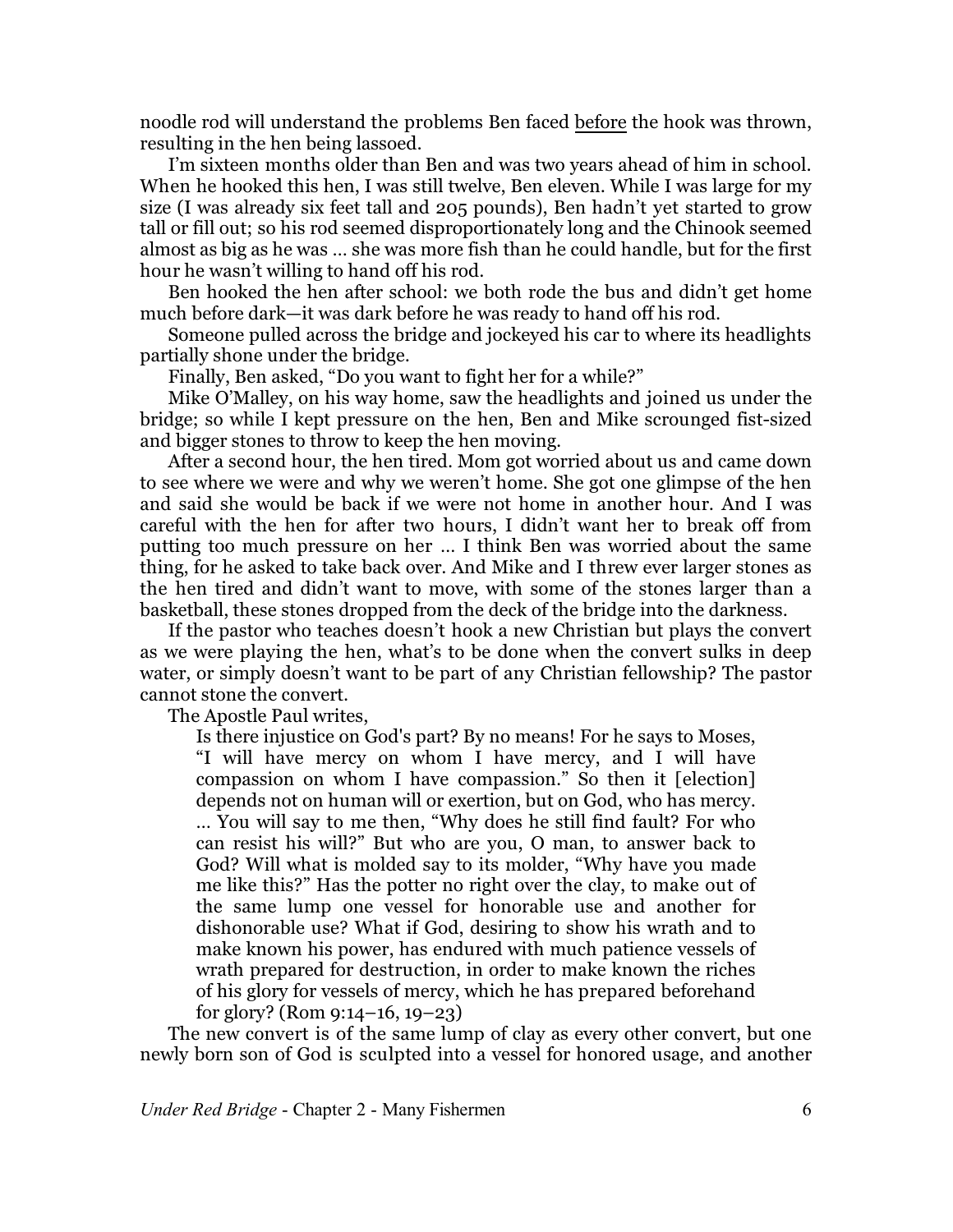noodle rod will understand the problems Ben faced before the hook was thrown, resulting in the hen being lassoed.

I'm sixteen months older than Ben and was two years ahead of him in school. When he hooked this hen, I was still twelve, Ben eleven. While I was large for my size (I was already six feet tall and 205 pounds), Ben hadn't yet started to grow tall or fill out; so his rod seemed disproportionately long and the Chinook seemed almost as big as he was … she was more fish than he could handle, but for the first hour he wasn't willing to hand off his rod.

Ben hooked the hen after school: we both rode the bus and didn't get home much before dark—it was dark before he was ready to hand off his rod.

Someone pulled across the bridge and jockeyed his car to where its headlights partially shone under the bridge.

Finally, Ben asked, "Do you want to fight her for a while?"

Mike O'Malley, on his way home, saw the headlights and joined us under the bridge; so while I kept pressure on the hen, Ben and Mike scrounged fist-sized and bigger stones to throw to keep the hen moving.

After a second hour, the hen tired. Mom got worried about us and came down to see where we were and why we weren't home. She got one glimpse of the hen and said she would be back if we were not home in another hour. And I was careful with the hen for after two hours, I didn't want her to break off from putting too much pressure on her … I think Ben was worried about the same thing, for he asked to take back over. And Mike and I threw ever larger stones as the hen tired and didn't want to move, with some of the stones larger than a basketball, these stones dropped from the deck of the bridge into the darkness.

If the pastor who teaches doesn't hook a new Christian but plays the convert as we were playing the hen, what's to be done when the convert sulks in deep water, or simply doesn't want to be part of any Christian fellowship? The pastor cannot stone the convert.

The Apostle Paul writes,

Is there injustice on God's part? By no means! For he says to Moses, "I will have mercy on whom I have mercy, and I will have compassion on whom I have compassion." So then it [election] depends not on human will or exertion, but on God, who has mercy. … You will say to me then, "Why does he still find fault? For who can resist his will?" But who are you, O man, to answer back to God? Will what is molded say to its molder, "Why have you made me like this?" Has the potter no right over the clay, to make out of the same lump one vessel for honorable use and another for dishonorable use? What if God, desiring to show his wrath and to make known his power, has endured with much patience vessels of wrath prepared for destruction, in order to make known the riches of his glory for vessels of mercy, which he has prepared beforehand for glory? (Rom 9:14–16, 19–23)

The new convert is of the same lump of clay as every other convert, but one newly born son of God is sculpted into a vessel for honored usage, and another

*Under Red Bridge* - Chapter 2 - Many Fishermen 6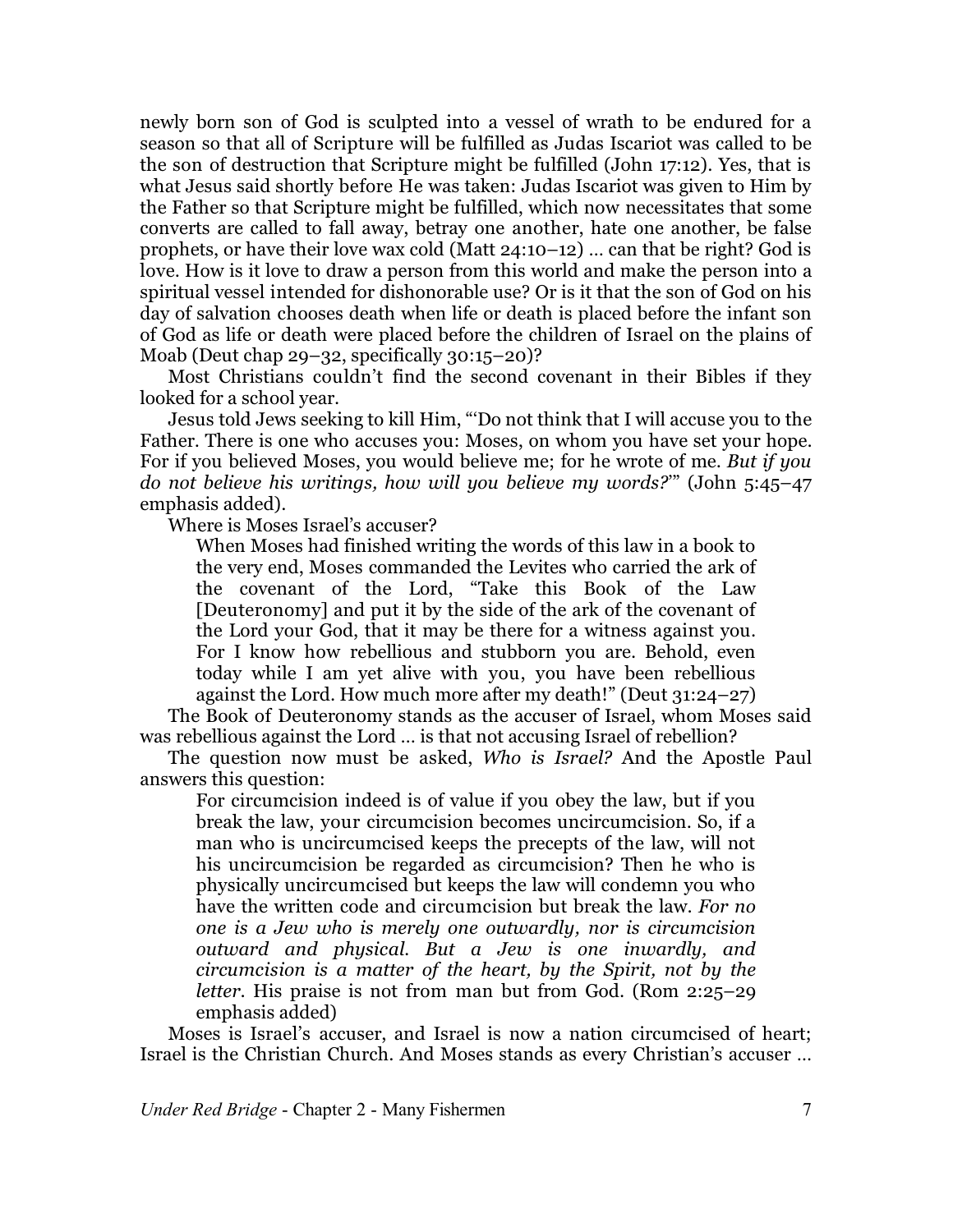newly born son of God is sculpted into a vessel of wrath to be endured for a season so that all of Scripture will be fulfilled as Judas Iscariot was called to be the son of destruction that Scripture might be fulfilled (John 17:12). Yes, that is what Jesus said shortly before He was taken: Judas Iscariot was given to Him by the Father so that Scripture might be fulfilled, which now necessitates that some converts are called to fall away, betray one another, hate one another, be false prophets, or have their love wax cold (Matt 24:10–12) … can that be right? God is love. How is it love to draw a person from this world and make the person into a spiritual vessel intended for dishonorable use? Or is it that the son of God on his day of salvation chooses death when life or death is placed before the infant son of God as life or death were placed before the children of Israel on the plains of Moab (Deut chap 29–32, specifically 30:15–20)?

Most Christians couldn't find the second covenant in their Bibles if they looked for a school year.

Jesus told Jews seeking to kill Him, "'Do not think that I will accuse you to the Father. There is one who accuses you: Moses, on whom you have set your hope. For if you believed Moses, you would believe me; for he wrote of me. *But if you do not believe his writings, how will you believe my words?*'" (John 5:45–47 emphasis added).

Where is Moses Israel's accuser?

When Moses had finished writing the words of this law in a book to the very end, Moses commanded the Levites who carried the ark of the covenant of the Lord, "Take this Book of the Law [Deuteronomy] and put it by the side of the ark of the covenant of the Lord your God, that it may be there for a witness against you. For I know how rebellious and stubborn you are. Behold, even today while I am yet alive with you, you have been rebellious against the Lord. How much more after my death!" (Deut 31:24–27)

The Book of Deuteronomy stands as the accuser of Israel, whom Moses said was rebellious against the Lord … is that not accusing Israel of rebellion?

The question now must be asked, *Who is Israel?* And the Apostle Paul answers this question:

For circumcision indeed is of value if you obey the law, but if you break the law, your circumcision becomes uncircumcision. So, if a man who is uncircumcised keeps the precepts of the law, will not his uncircumcision be regarded as circumcision? Then he who is physically uncircumcised but keeps the law will condemn you who have the written code and circumcision but break the law. *For no one is a Jew who is merely one outwardly, nor is circumcision outward and physical. But a Jew is one inwardly, and circumcision is a matter of the heart, by the Spirit, not by the letter*. His praise is not from man but from God. (Rom 2:25–29 emphasis added)

Moses is Israel's accuser, and Israel is now a nation circumcised of heart; Israel is the Christian Church. And Moses stands as every Christian's accuser …

*Under Red Bridge* - Chapter 2 - Many Fishermen 7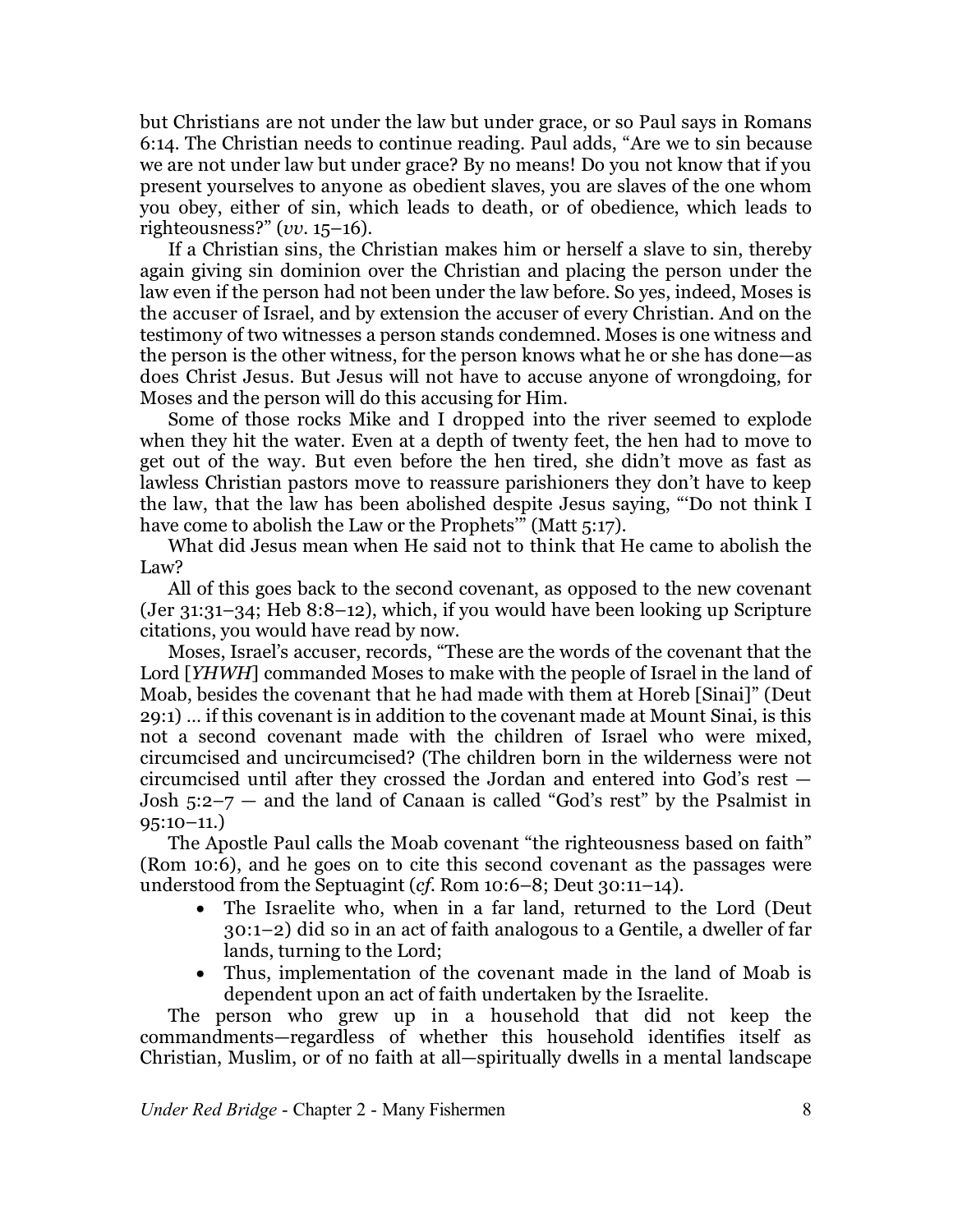but Christians are not under the law but under grace, or so Paul says in Romans 6:14. The Christian needs to continue reading. Paul adds, "Are we to sin because we are not under law but under grace? By no means! Do you not know that if you present yourselves to anyone as obedient slaves, you are slaves of the one whom you obey, either of sin, which leads to death, or of obedience, which leads to righteousness?" (*vv.* 15–16).

If a Christian sins, the Christian makes him or herself a slave to sin, thereby again giving sin dominion over the Christian and placing the person under the law even if the person had not been under the law before. So yes, indeed, Moses is the accuser of Israel, and by extension the accuser of every Christian. And on the testimony of two witnesses a person stands condemned. Moses is one witness and the person is the other witness, for the person knows what he or she has done—as does Christ Jesus. But Jesus will not have to accuse anyone of wrongdoing, for Moses and the person will do this accusing for Him.

Some of those rocks Mike and I dropped into the river seemed to explode when they hit the water. Even at a depth of twenty feet, the hen had to move to get out of the way. But even before the hen tired, she didn't move as fast as lawless Christian pastors move to reassure parishioners they don't have to keep the law, that the law has been abolished despite Jesus saying, "'Do not think I have come to abolish the Law or the Prophets<sup>"</sup> (Matt 5:17).

What did Jesus mean when He said not to think that He came to abolish the Law?

All of this goes back to the second covenant, as opposed to the new covenant (Jer 31:31–34; Heb 8:8–12), which, if you would have been looking up Scripture citations, you would have read by now.

Moses, Israel's accuser, records, "These are the words of the covenant that the Lord [*YHWH*] commanded Moses to make with the people of Israel in the land of Moab, besides the covenant that he had made with them at Horeb [Sinai]" (Deut 29:1) … if this covenant is in addition to the covenant made at Mount Sinai, is this not a second covenant made with the children of Israel who were mixed, circumcised and uncircumcised? (The children born in the wilderness were not circumcised until after they crossed the Jordan and entered into God's rest — Josh 5:2–7 — and the land of Canaan is called "God's rest" by the Psalmist in  $95:10-11.$ 

The Apostle Paul calls the Moab covenant "the righteousness based on faith" (Rom 10:6), and he goes on to cite this second covenant as the passages were understood from the Septuagint (*cf.* Rom 10:6–8; Deut 30:11–14).

- · The Israelite who, when in a far land, returned to the Lord (Deut 30:1–2) did so in an act of faith analogous to a Gentile, a dweller of far lands, turning to the Lord;
- · Thus, implementation of the covenant made in the land of Moab is dependent upon an act of faith undertaken by the Israelite.

The person who grew up in a household that did not keep the commandments—regardless of whether this household identifies itself as Christian, Muslim, or of no faith at all—spiritually dwells in a mental landscape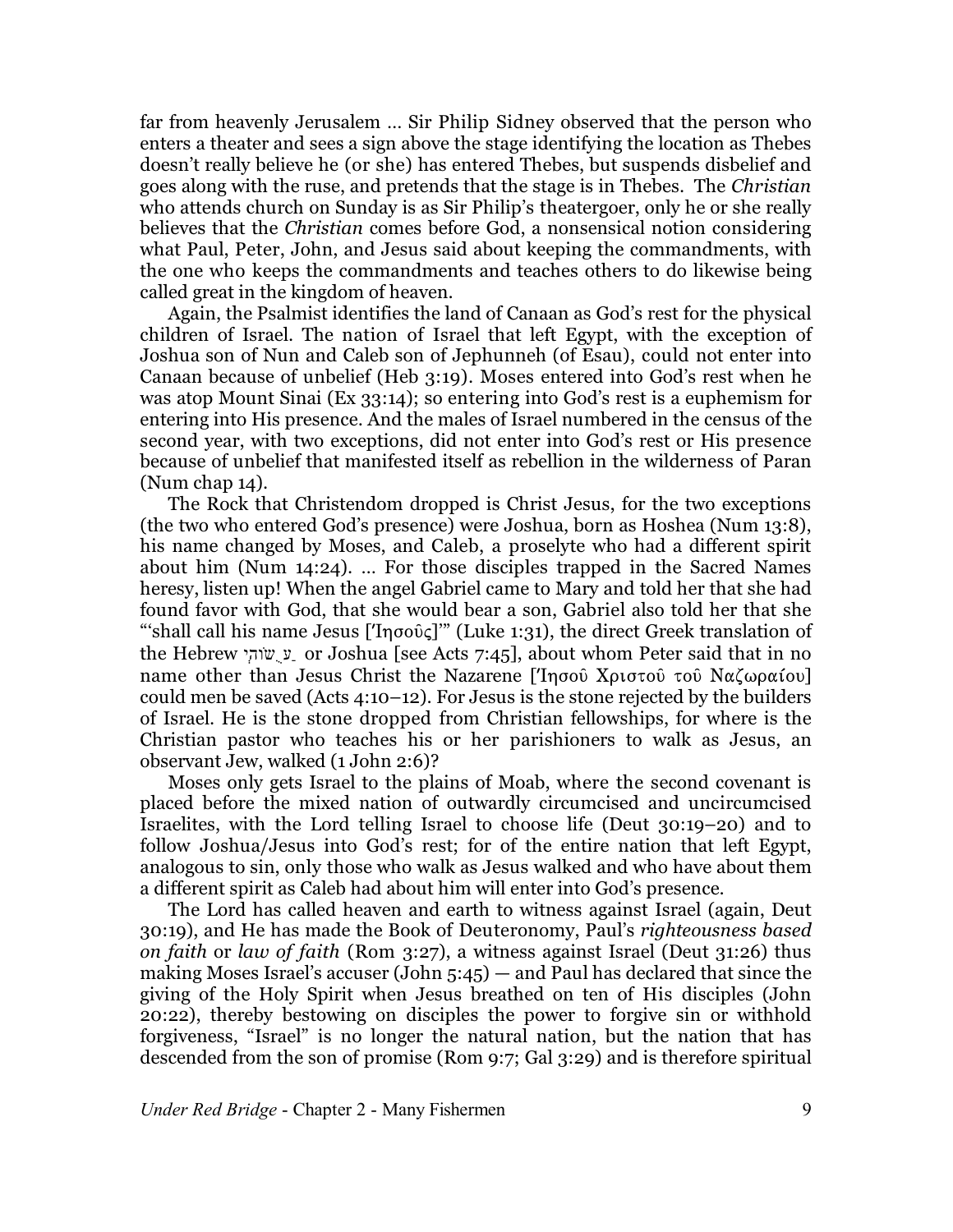far from heavenly Jerusalem … Sir Philip Sidney observed that the person who enters a theater and sees a sign above the stage identifying the location as Thebes doesn't really believe he (or she) has entered Thebes, but suspends disbelief and goes along with the ruse, and pretends that the stage is in Thebes. The *Christian* who attends church on Sunday is as Sir Philip's theatergoer, only he or she really believes that the *Christian* comes before God, a nonsensical notion considering what Paul, Peter, John, and Jesus said about keeping the commandments, with the one who keeps the commandments and teaches others to do likewise being called great in the kingdom of heaven.

Again, the Psalmist identifies the land of Canaan as God's rest for the physical children of Israel. The nation of Israel that left Egypt, with the exception of Joshua son of Nun and Caleb son of Jephunneh (of Esau), could not enter into Canaan because of unbelief (Heb 3:19). Moses entered into God's rest when he was atop Mount Sinai (Ex 33:14); so entering into God's rest is a euphemism for entering into His presence. And the males of Israel numbered in the census of the second year, with two exceptions, did not enter into God's rest or His presence because of unbelief that manifested itself as rebellion in the wilderness of Paran (Num chap 14).

The Rock that Christendom dropped is Christ Jesus, for the two exceptions (the two who entered God's presence) were Joshua, born as Hoshea (Num 13:8), his name changed by Moses, and Caleb, a proselyte who had a different spirit about him (Num 14:24). … For those disciples trapped in the Sacred Names heresy, listen up! When the angel Gabriel came to Mary and told her that she had found favor with God, that she would bear a son, Gabriel also told her that she "shall call his name Jesus [' $Inqoo\hat{v}$ ]" (Luke 1:31), the direct Greek translation of the Hebrew יָע שוֹהִי or Joshua [see Acts 7:45], about whom Peter said that in no name other than Jesus Christ the Nazarene ['Iησού Χριστού του Ναζωραίου] could men be saved (Acts 4:10–12). For Jesus is the stone rejected by the builders of Israel. He is the stone dropped from Christian fellowships, for where is the Christian pastor who teaches his or her parishioners to walk as Jesus, an observant Jew, walked (1 John 2:6)?

Moses only gets Israel to the plains of Moab, where the second covenant is placed before the mixed nation of outwardly circumcised and uncircumcised Israelites, with the Lord telling Israel to choose life (Deut 30:19–20) and to follow Joshua/Jesus into God's rest; for of the entire nation that left Egypt, analogous to sin, only those who walk as Jesus walked and who have about them a different spirit as Caleb had about him will enter into God's presence.

The Lord has called heaven and earth to witness against Israel (again, Deut 30:19), and He has made the Book of Deuteronomy, Paul's *righteousness based on faith* or *law of faith* (Rom 3:27), a witness against Israel (Deut 31:26) thus making Moses Israel's accuser (John 5:45) — and Paul has declared that since the giving of the Holy Spirit when Jesus breathed on ten of His disciples (John 20:22), thereby bestowing on disciples the power to forgive sin or withhold forgiveness, "Israel" is no longer the natural nation, but the nation that has descended from the son of promise (Rom 9:7; Gal 3:29) and is therefore spiritual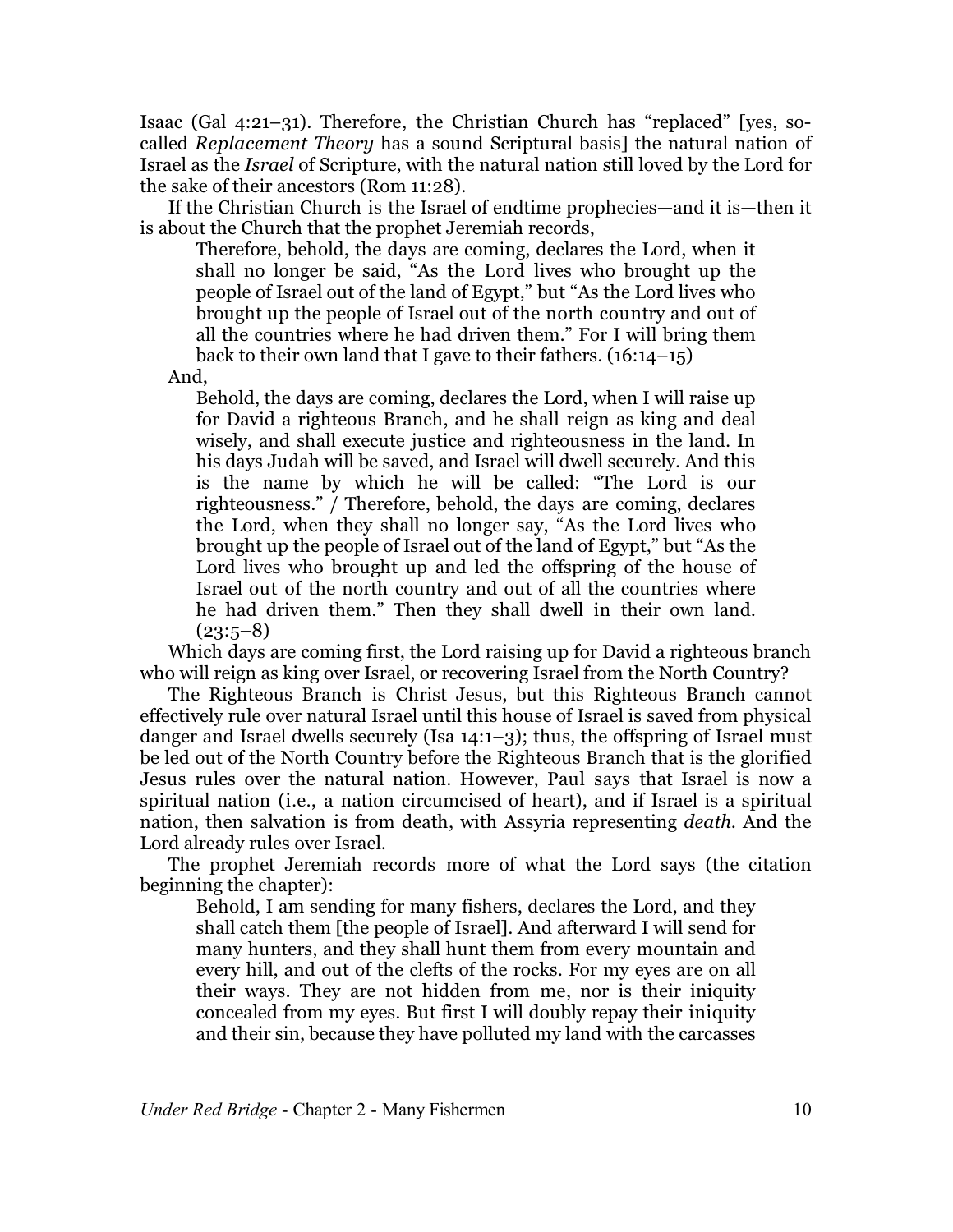Isaac (Gal 4:21–31). Therefore, the Christian Church has "replaced" [yes, socalled *Replacement Theory* has a sound Scriptural basis] the natural nation of Israel as the *Israel* of Scripture, with the natural nation still loved by the Lord for the sake of their ancestors (Rom 11:28).

If the Christian Church is the Israel of endtime prophecies—and it is—then it is about the Church that the prophet Jeremiah records,

Therefore, behold, the days are coming, declares the Lord, when it shall no longer be said, "As the Lord lives who brought up the people of Israel out of the land of Egypt," but "As the Lord lives who brought up the people of Israel out of the north country and out of all the countries where he had driven them." For I will bring them back to their own land that I gave to their fathers. (16:14–15)

And,

Behold, the days are coming, declares the Lord, when I will raise up for David a righteous Branch, and he shall reign as king and deal wisely, and shall execute justice and righteousness in the land. In his days Judah will be saved, and Israel will dwell securely. And this is the name by which he will be called: "The Lord is our righteousness." / Therefore, behold, the days are coming, declares the Lord, when they shall no longer say, "As the Lord lives who brought up the people of Israel out of the land of Egypt," but "As the Lord lives who brought up and led the offspring of the house of Israel out of the north country and out of all the countries where he had driven them." Then they shall dwell in their own land.  $(23:5-8)$ 

Which days are coming first, the Lord raising up for David a righteous branch who will reign as king over Israel, or recovering Israel from the North Country?

The Righteous Branch is Christ Jesus, but this Righteous Branch cannot effectively rule over natural Israel until this house of Israel is saved from physical danger and Israel dwells securely (Isa 14:1–3); thus, the offspring of Israel must be led out of the North Country before the Righteous Branch that is the glorified Jesus rules over the natural nation. However, Paul says that Israel is now a spiritual nation (i.e., a nation circumcised of heart), and if Israel is a spiritual nation, then salvation is from death, with Assyria representing *death*. And the Lord already rules over Israel.

The prophet Jeremiah records more of what the Lord says (the citation beginning the chapter):

Behold, I am sending for many fishers, declares the Lord, and they shall catch them [the people of Israel]. And afterward I will send for many hunters, and they shall hunt them from every mountain and every hill, and out of the clefts of the rocks. For my eyes are on all their ways. They are not hidden from me, nor is their iniquity concealed from my eyes. But first I will doubly repay their iniquity and their sin, because they have polluted my land with the carcasses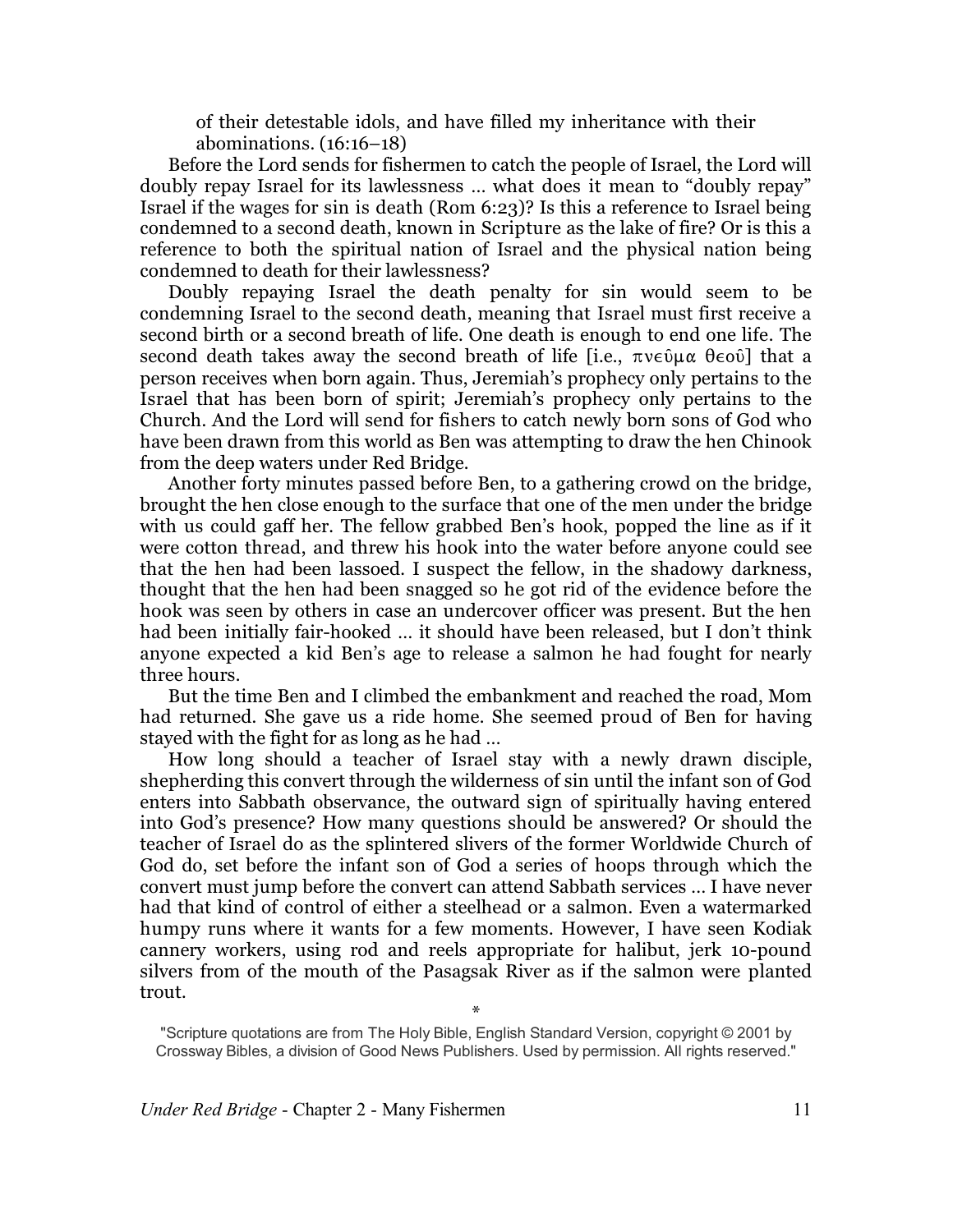of their detestable idols, and have filled my inheritance with their abominations. (16:16–18)

Before the Lord sends for fishermen to catch the people of Israel, the Lord will doubly repay Israel for its lawlessness … what does it mean to "doubly repay" Israel if the wages for sin is death (Rom 6:23)? Is this a reference to Israel being condemned to a second death, known in Scripture as the lake of fire? Or is this a reference to both the spiritual nation of Israel and the physical nation being condemned to death for their lawlessness?

Doubly repaying Israel the death penalty for sin would seem to be condemning Israel to the second death, meaning that Israel must first receive a second birth or a second breath of life. One death is enough to end one life. The second death takes away the second breath of life [i.e.,  $\pi v \in \mathfrak{g}_{\mu}$  a, be  $\mathfrak{g}_{\mu}$  a,  $\mathfrak{g}_{\mu}$ person receives when born again. Thus, Jeremiah's prophecy only pertains to the Israel that has been born of spirit; Jeremiah's prophecy only pertains to the Church. And the Lord will send for fishers to catch newly born sons of God who have been drawn from this world as Ben was attempting to draw the hen Chinook from the deep waters under Red Bridge.

Another forty minutes passed before Ben, to a gathering crowd on the bridge, brought the hen close enough to the surface that one of the men under the bridge with us could gaff her. The fellow grabbed Ben's hook, popped the line as if it were cotton thread, and threw his hook into the water before anyone could see that the hen had been lassoed. I suspect the fellow, in the shadowy darkness, thought that the hen had been snagged so he got rid of the evidence before the hook was seen by others in case an undercover officer was present. But the hen had been initially fair-hooked … it should have been released, but I don't think anyone expected a kid Ben's age to release a salmon he had fought for nearly three hours.

But the time Ben and I climbed the embankment and reached the road, Mom had returned. She gave us a ride home. She seemed proud of Ben for having stayed with the fight for as long as he had …

How long should a teacher of Israel stay with a newly drawn disciple, shepherding this convert through the wilderness of sin until the infant son of God enters into Sabbath observance, the outward sign of spiritually having entered into God's presence? How many questions should be answered? Or should the teacher of Israel do as the splintered slivers of the former Worldwide Church of God do, set before the infant son of God a series of hoops through which the convert must jump before the convert can attend Sabbath services … I have never had that kind of control of either a steelhead or a salmon. Even a watermarked humpy runs where it wants for a few moments. However, I have seen Kodiak cannery workers, using rod and reels appropriate for halibut, jerk 10-pound silvers from of the mouth of the Pasagsak River as if the salmon were planted trout.

\* "Scripture quotations are from The Holy Bible, English Standard Version, copyright © 2001 by Crossway Bibles, a division of Good News Publishers. Used by permission. All rights reserved."